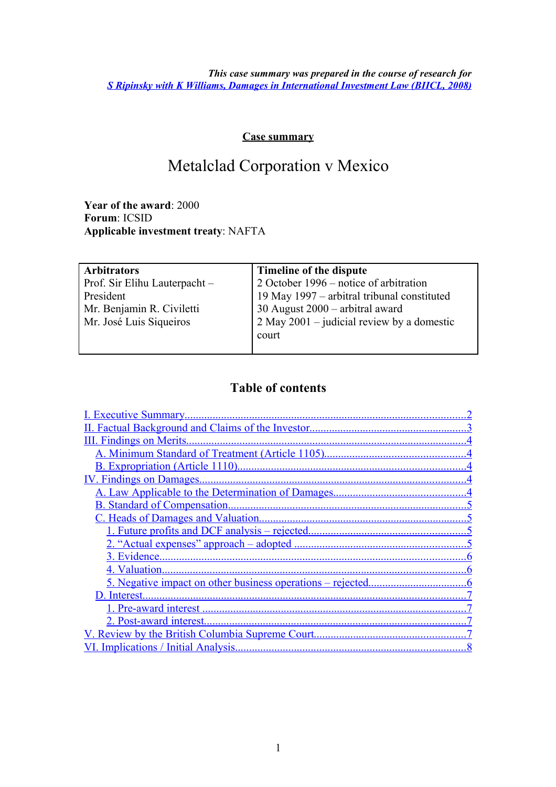*This case summary was prepared in the course of research for [S Ripinsky with K Williams, Damages in International Investment Law \(BIICL, 2008\)](http://www.biicl.org/publications/view/-/id/126/)*

#### **Case summary**

# Metalclad Corporation v Mexico

**Year of the award**: 2000 **Forum**: ICSID **Applicable investment treaty**: NAFTA

| <b>Arbitrators</b>            | Timeline of the dispute                        |
|-------------------------------|------------------------------------------------|
| Prof. Sir Elihu Lauterpacht - | 2 October 1996 – notice of arbitration         |
| President                     | 19 May 1997 – arbitral tribunal constituted    |
| Mr. Benjamin R. Civiletti     | 30 August $2000 -$ arbitral award              |
| Mr. José Luis Siqueiros       | $2$ May $2001$ – judicial review by a domestic |
|                               | court                                          |
|                               |                                                |

### <span id="page-0-6"></span><span id="page-0-5"></span><span id="page-0-4"></span><span id="page-0-3"></span><span id="page-0-2"></span><span id="page-0-1"></span><span id="page-0-0"></span>**Table of contents**

| II. Factual Background and Claims of the Investor                 |
|-------------------------------------------------------------------|
|                                                                   |
|                                                                   |
|                                                                   |
|                                                                   |
|                                                                   |
|                                                                   |
|                                                                   |
|                                                                   |
|                                                                   |
| 3. Evidence                                                       |
| 4. Valuation                                                      |
| <u>5. Negative impact on other business operations – rejected</u> |
| D. Interest                                                       |
|                                                                   |
|                                                                   |
|                                                                   |
|                                                                   |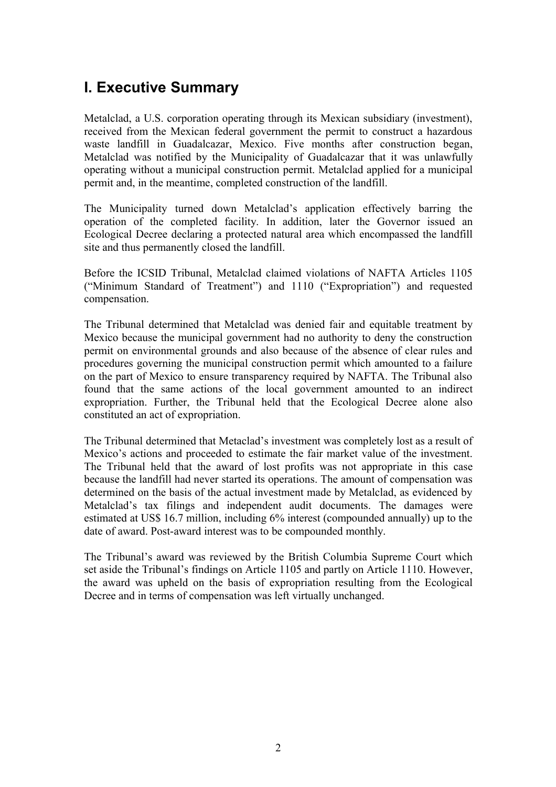## <span id="page-1-0"></span>**I. Executive Summary**

Metalclad, a U.S. corporation operating through its Mexican subsidiary (investment), received from the Mexican federal government the permit to construct a hazardous waste landfill in Guadalcazar, Mexico. Five months after construction began, Metalclad was notified by the Municipality of Guadalcazar that it was unlawfully operating without a municipal construction permit. Metalclad applied for a municipal permit and, in the meantime, completed construction of the landfill.

The Municipality turned down Metalclad's application effectively barring the operation of the completed facility. In addition, later the Governor issued an Ecological Decree declaring a protected natural area which encompassed the landfill site and thus permanently closed the landfill.

Before the ICSID Tribunal, Metalclad claimed violations of NAFTA Articles 1105 ("Minimum Standard of Treatment") and 1110 ("Expropriation") and requested compensation.

The Tribunal determined that Metalclad was denied fair and equitable treatment by Mexico because the municipal government had no authority to deny the construction permit on environmental grounds and also because of the absence of clear rules and procedures governing the municipal construction permit which amounted to a failure on the part of Mexico to ensure transparency required by NAFTA. The Tribunal also found that the same actions of the local government amounted to an indirect expropriation. Further, the Tribunal held that the Ecological Decree alone also constituted an act of expropriation.

The Tribunal determined that Metaclad's investment was completely lost as a result of Mexico's actions and proceeded to estimate the fair market value of the investment. The Tribunal held that the award of lost profits was not appropriate in this case because the landfill had never started its operations. The amount of compensation was determined on the basis of the actual investment made by Metalclad, as evidenced by Metalclad's tax filings and independent audit documents. The damages were estimated at US\$ 16.7 million, including 6% interest (compounded annually) up to the date of award. Post-award interest was to be compounded monthly.

The Tribunal's award was reviewed by the British Columbia Supreme Court which set aside the Tribunal's findings on Article 1105 and partly on Article 1110. However, the award was upheld on the basis of expropriation resulting from the Ecological Decree and in terms of compensation was left virtually unchanged.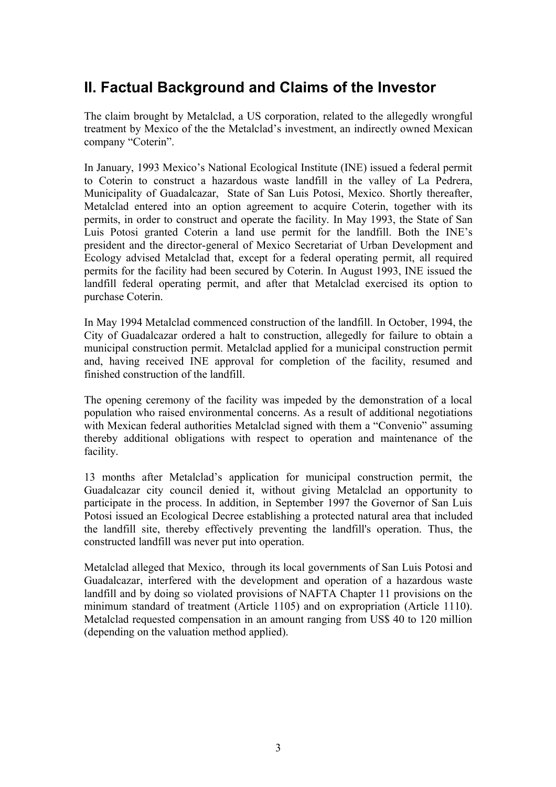## <span id="page-2-0"></span>**II. Factual Background and Claims of the Investor**

The claim brought by Metalclad, a US corporation, related to the allegedly wrongful treatment by Mexico of the the Metalclad's investment, an indirectly owned Mexican company "Coterin".

In January, 1993 Mexico's National Ecological Institute (INE) issued a federal permit to Coterin to construct a hazardous waste landfill in the valley of La Pedrera, Municipality of Guadalcazar, State of San Luis Potosi, Mexico. Shortly thereafter, Metalclad entered into an option agreement to acquire Coterin, together with its permits, in order to construct and operate the facility. In May 1993, the State of San Luis Potosi granted Coterin a land use permit for the landfill. Both the INE's president and the director-general of Mexico Secretariat of Urban Development and Ecology advised Metalclad that, except for a federal operating permit, all required permits for the facility had been secured by Coterin. In August 1993, INE issued the landfill federal operating permit, and after that Metalclad exercised its option to purchase Coterin.

In May 1994 Metalclad commenced construction of the landfill. In October, 1994, the City of Guadalcazar ordered a halt to construction, allegedly for failure to obtain a municipal construction permit. Metalclad applied for a municipal construction permit and, having received INE approval for completion of the facility, resumed and finished construction of the landfill.

The opening ceremony of the facility was impeded by the demonstration of a local population who raised environmental concerns. As a result of additional negotiations with Mexican federal authorities Metalclad signed with them a "Convenio" assuming thereby additional obligations with respect to operation and maintenance of the facility.

13 months after Metalclad's application for municipal construction permit, the Guadalcazar city council denied it, without giving Metalclad an opportunity to participate in the process. In addition, in September 1997 the Governor of San Luis Potosi issued an Ecological Decree establishing a protected natural area that included the landfill site, thereby effectively preventing the landfill's operation. Thus, the constructed landfill was never put into operation.

Metalclad alleged that Mexico, through its local governments of San Luis Potosi and Guadalcazar, interfered with the development and operation of a hazardous waste landfill and by doing so violated provisions of NAFTA Chapter 11 provisions on the minimum standard of treatment (Article 1105) and on expropriation (Article 1110). Metalclad requested compensation in an amount ranging from US\$ 40 to 120 million (depending on the valuation method applied).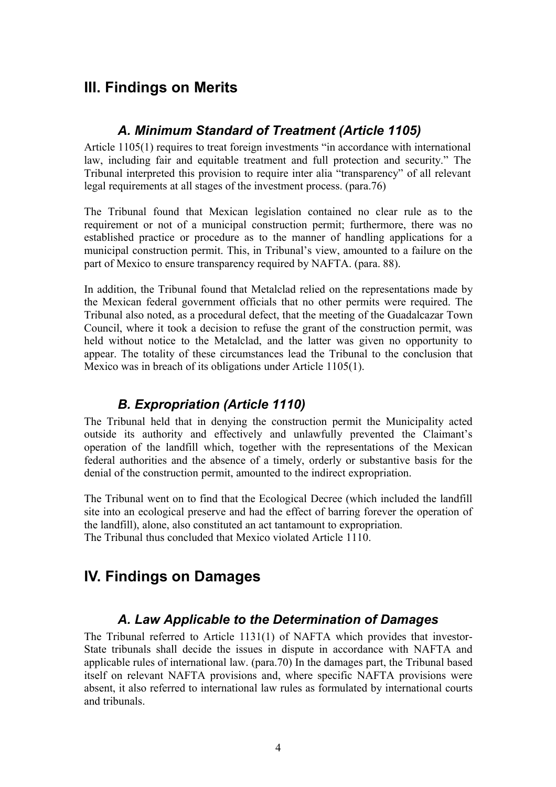## <span id="page-3-4"></span>**III. Findings on Merits**

### <span id="page-3-3"></span>*A. Minimum Standard of Treatment (Article 1105)*

Article 1105(1) requires to treat foreign investments "in accordance with international law, including fair and equitable treatment and full protection and security." The Tribunal interpreted this provision to require inter alia "transparency" of all relevant legal requirements at all stages of the investment process. (para.76)

The Tribunal found that Mexican legislation contained no clear rule as to the requirement or not of a municipal construction permit; furthermore, there was no established practice or procedure as to the manner of handling applications for a municipal construction permit. This, in Tribunal's view, amounted to a failure on the part of Mexico to ensure transparency required by NAFTA. (para. 88).

In addition, the Tribunal found that Metalclad relied on the representations made by the Mexican federal government officials that no other permits were required. The Tribunal also noted, as a procedural defect, that the meeting of the Guadalcazar Town Council, where it took a decision to refuse the grant of the construction permit, was held without notice to the Metalclad, and the latter was given no opportunity to appear. The totality of these circumstances lead the Tribunal to the conclusion that Mexico was in breach of its obligations under Article 1105(1).

## <span id="page-3-2"></span>*B. Expropriation (Article 1110)*

The Tribunal held that in denying the construction permit the Municipality acted outside its authority and effectively and unlawfully prevented the Claimant's operation of the landfill which, together with the representations of the Mexican federal authorities and the absence of a timely, orderly or substantive basis for the denial of the construction permit, amounted to the indirect expropriation.

The Tribunal went on to find that the Ecological Decree (which included the landfill site into an ecological preserve and had the effect of barring forever the operation of the landfill), alone, also constituted an act tantamount to expropriation. The Tribunal thus concluded that Mexico violated Article 1110.

## <span id="page-3-1"></span>**IV. Findings on Damages**

### <span id="page-3-0"></span>*A. Law Applicable to the Determination of Damages*

The Tribunal referred to Article 1131(1) of NAFTA which provides that investor-State tribunals shall decide the issues in dispute in accordance with NAFTA and applicable rules of international law. (para.70) In the damages part, the Tribunal based itself on relevant NAFTA provisions and, where specific NAFTA provisions were absent, it also referred to international law rules as formulated by international courts and tribunals.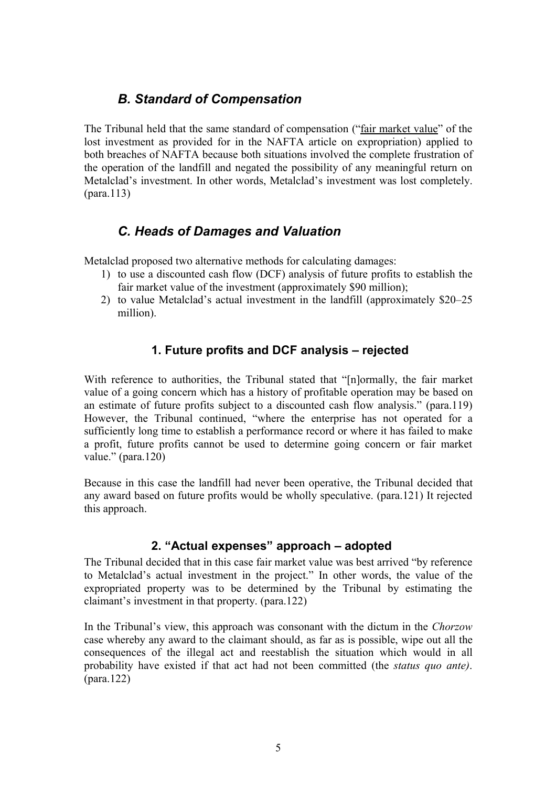## <span id="page-4-1"></span>*B. Standard of Compensation*

The Tribunal held that the same standard of compensation ("fair market value" of the lost investment as provided for in the NAFTA article on expropriation) applied to both breaches of NAFTA because both situations involved the complete frustration of the operation of the landfill and negated the possibility of any meaningful return on Metalclad's investment. In other words, Metalclad's investment was lost completely. (para.113)

### <span id="page-4-0"></span>*C. Heads of Damages and Valuation*

Metalclad proposed two alternative methods for calculating damages:

- 1) to use a discounted cash flow (DCF) analysis of future profits to establish the fair market value of the investment (approximately \$90 million);
- 2) to value Metalclad's actual investment in the landfill (approximately \$20–25 million).

#### **1. Future profits and DCF analysis – rejected**

With reference to authorities, the Tribunal stated that "[n]ormally, the fair market value of a going concern which has a history of profitable operation may be based on an estimate of future profits subject to a discounted cash flow analysis." (para.119) However, the Tribunal continued, "where the enterprise has not operated for a sufficiently long time to establish a performance record or where it has failed to make a profit, future profits cannot be used to determine going concern or fair market value." (para.120)

Because in this case the landfill had never been operative, the Tribunal decided that any award based on future profits would be wholly speculative. (para.121) It rejected this approach.

#### **2. "Actual expenses" approach – adopted**

The Tribunal decided that in this case fair market value was best arrived "by reference to Metalclad's actual investment in the project." In other words, the value of the expropriated property was to be determined by the Tribunal by estimating the claimant's investment in that property. (para.122)

In the Tribunal's view, this approach was consonant with the dictum in the *Chorzow* case whereby any award to the claimant should, as far as is possible, wipe out all the consequences of the illegal act and reestablish the situation which would in all probability have existed if that act had not been committed (the *status quo ante)*. (para.122)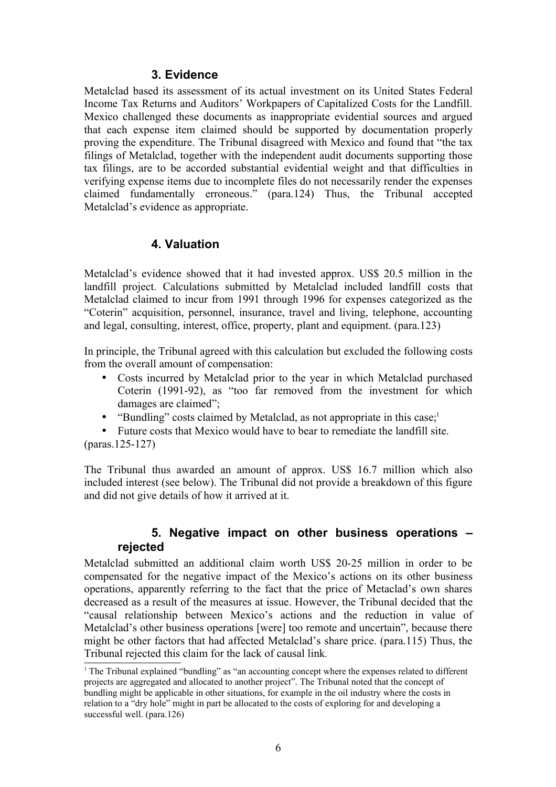#### **3. Evidence**

Metalclad based its assessment of its actual investment on its United States Federal Income Tax Returns and Auditors' Workpapers of Capitalized Costs for the Landfill. Mexico challenged these documents as inappropriate evidential sources and argued that each expense item claimed should be supported by documentation properly proving the expenditure. The Tribunal disagreed with Mexico and found that "the tax filings of Metalclad, together with the independent audit documents supporting those tax filings, are to be accorded substantial evidential weight and that difficulties in verifying expense items due to incomplete files do not necessarily render the expenses claimed fundamentally erroneous." (para.124) Thus, the Tribunal accepted Metalclad's evidence as appropriate.

#### **4. Valuation**

Metalclad's evidence showed that it had invested approx. US\$ 20.5 million in the landfill project. Calculations submitted by Metalclad included landfill costs that Metalclad claimed to incur from 1991 through 1996 for expenses categorized as the "Coterin" acquisition, personnel, insurance, travel and living, telephone, accounting and legal, consulting, interest, office, property, plant and equipment. (para.123)

In principle, the Tribunal agreed with this calculation but excluded the following costs from the overall amount of compensation:

- Costs incurred by Metalclad prior to the year in which Metalclad purchased Coterin (1991-92), as "too far removed from the investment for which damages are claimed";
- "Bundling" costs claimed by Metalclad, as not appropriate in this case; $<sup>1</sup>$  $<sup>1</sup>$  $<sup>1</sup>$ </sup>

• Future costs that Mexico would have to bear to remediate the landfill site. (paras.125-127)

The Tribunal thus awarded an amount of approx. US\$ 16.7 million which also included interest (see below). The Tribunal did not provide a breakdown of this figure and did not give details of how it arrived at it.

#### **5. Negative impact on other business operations – rejected**

Metalclad submitted an additional claim worth US\$ 20-25 million in order to be compensated for the negative impact of the Mexico's actions on its other business operations, apparently referring to the fact that the price of Metaclad's own shares decreased as a result of the measures at issue. However, the Tribunal decided that the "causal relationship between Mexico's actions and the reduction in value of Metalclad's other business operations [were] too remote and uncertain", because there might be other factors that had affected Metalclad's share price. (para.115) Thus, the Tribunal rejected this claim for the lack of causal link.

<span id="page-5-0"></span><sup>1</sup> The Tribunal explained "bundling" as "an accounting concept where the expenses related to different projects are aggregated and allocated to another project". The Tribunal noted that the concept of bundling might be applicable in other situations, for example in the oil industry where the costs in relation to a "dry hole" might in part be allocated to the costs of exploring for and developing a successful well. (para.126)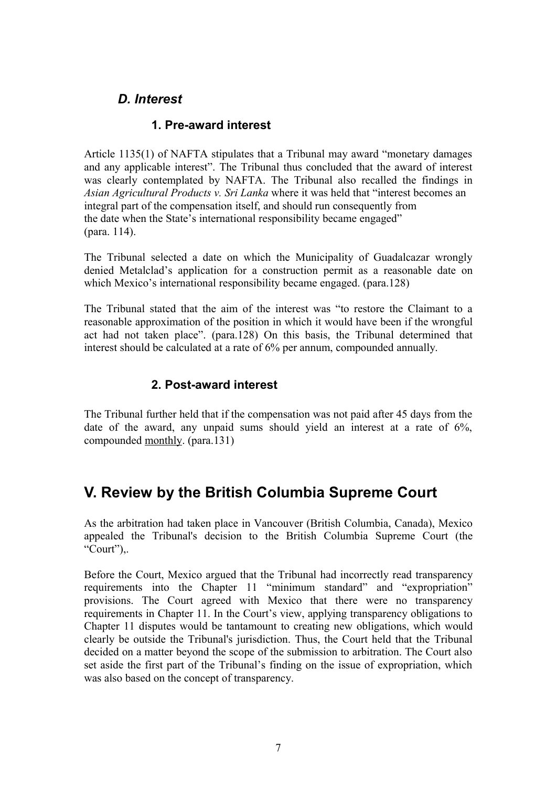### <span id="page-6-1"></span>*D. Interest*

#### **1. Pre-award interest**

Article 1135(1) of NAFTA stipulates that a Tribunal may award "monetary damages and any applicable interest". The Tribunal thus concluded that the award of interest was clearly contemplated by NAFTA. The Tribunal also recalled the findings in *Asian Agricultural Products v. Sri Lanka* where it was held that "interest becomes an integral part of the compensation itself, and should run consequently from the date when the State's international responsibility became engaged" (para. 114).

The Tribunal selected a date on which the Municipality of Guadalcazar wrongly denied Metalclad's application for a construction permit as a reasonable date on which Mexico's international responsibility became engaged. (para.128)

The Tribunal stated that the aim of the interest was "to restore the Claimant to a reasonable approximation of the position in which it would have been if the wrongful act had not taken place". (para.128) On this basis, the Tribunal determined that interest should be calculated at a rate of 6% per annum, compounded annually.

#### **2. Post-award interest**

The Tribunal further held that if the compensation was not paid after 45 days from the date of the award, any unpaid sums should yield an interest at a rate of 6%, compounded monthly. (para.131)

## <span id="page-6-0"></span>**V. Review by the British Columbia Supreme Court**

As the arbitration had taken place in Vancouver (British Columbia, Canada), Mexico appealed the Tribunal's decision to the British Columbia Supreme Court (the " $Court$ "),.

Before the Court, Mexico argued that the Tribunal had incorrectly read transparency requirements into the Chapter 11 "minimum standard" and "expropriation" provisions. The Court agreed with Mexico that there were no transparency requirements in Chapter 11. In the Court's view, applying transparency obligations to Chapter 11 disputes would be tantamount to creating new obligations, which would clearly be outside the Tribunal's jurisdiction. Thus, the Court held that the Tribunal decided on a matter beyond the scope of the submission to arbitration. The Court also set aside the first part of the Tribunal's finding on the issue of expropriation, which was also based on the concept of transparency.